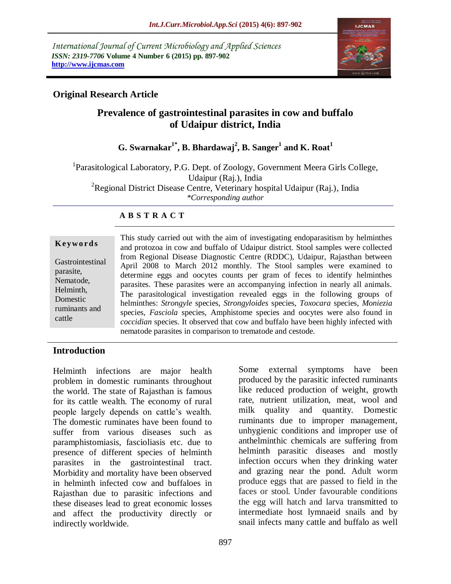*International Journal of Current Microbiology and Applied Sciences ISSN: 2319-7706* **Volume 4 Number 6 (2015) pp. 897-902 http://www.ijcmas.com** 



## **Original Research Article**

# **Prevalence of gastrointestinal parasites in cow and buffalo of Udaipur district, India**

# **G. Swarnakar1\* , B. Bhardawaj<sup>2</sup> , B. Sanger<sup>1</sup> and K. Roat<sup>1</sup>**

<sup>1</sup>Parasitological Laboratory, P.G. Dept. of Zoology, Government Meera Girls College, Udaipur (Raj.), India <sup>2</sup>Regional District Disease Centre, Veterinary hospital Udaipur (Raj.), India *\*Corresponding author*

### **A B S T R A C T**

Gastrointestinal parasite, Nematode, Helminth, Domestic ruminants and cattle

This study carried out with the aim of investigating endoparasitism by helminthes and protozoa in cow and buffalo of Udaipur district. Stool samples were collected from Regional Disease Diagnostic Centre (RDDC), Udaipur, Rajasthan between April 2008 to March 2012 monthly. The Stool samples were examined to determine eggs and oocytes counts per gram of feces to identify helminthes parasites. These parasites were an accompanying infection in nearly all animals. The parasitological investigation revealed eggs in the following groups of helminthes: *Strongyle* species, *Strongyloides* species, *Toxocara* species, *Moniezia*  species, *Fasciola* species, Amphistome species and oocytes were also found in *coccidian* species. It observed that cow and buffalo have been highly infected with nematode parasites in comparison to trematode and cestode.

### **Introduction**

Helminth infections are major health problem in domestic ruminants throughout the world. The state of Rajasthan is famous for its cattle wealth. The economy of rural people largely depends on cattle's wealth. The domestic ruminates have been found to suffer from various diseases such as paramphistomiasis, fascioliasis etc. due to presence of different species of helminth parasites in the gastrointestinal tract. Morbidity and mortality have been observed in helminth infected cow and buffaloes in Rajasthan due to parasitic infections and these diseases lead to great economic losses and affect the productivity directly or indirectly worldwide.

Some external symptoms have been produced by the parasitic infected ruminants like reduced production of weight, growth rate, nutrient utilization, meat, wool and milk quality and quantity. Domestic ruminants due to improper management, unhygienic conditions and improper use of anthelminthic chemicals are suffering from helminth parasitic diseases and mostly infection occurs when they drinking water and grazing near the pond. Adult worm produce eggs that are passed to field in the faces or stool. Under favourable conditions the egg will hatch and larva transmitted to intermediate host lymnaeid snails and by snail infects many cattle and buffalo as well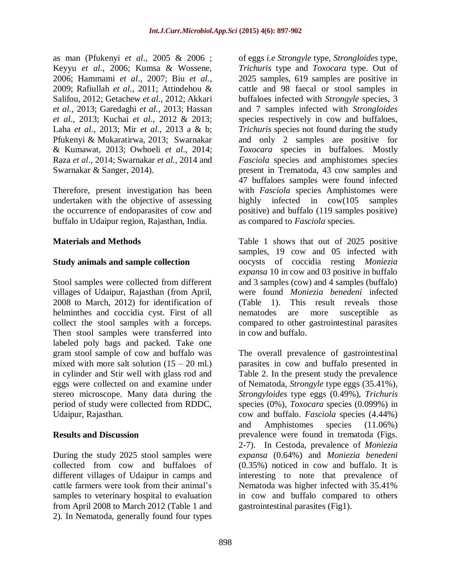as man (Pfukenyi *et al*., 2005 & 2006 ; Keyyu *et al.*, 2006; Kumsa & Wossene, 2006; Hammami *et al*., 2007; Biu *et al.*, 2009; Rafiullah *et al.*, 2011; Attindehou & Salifou, 2012; Getachew *et al.*, 2012; Akkari *et al.*, 2013; Garedaghi *et al.*, 2013; Hassan *et al*., 2013; Kuchai *et al*., 2012 & 2013; Laha *et al.*, 2013; Mir *et al.*, 2013 a & b; Pfukenyi & Mukaratirwa, 2013; Swarnakar & Kumawat, 2013; Owhoeli *et al*., 2014; Raza *et al*., 2014; Swarnakar *et al.*, 2014 and Swarnakar & Sanger, 2014).

Therefore, present investigation has been undertaken with the objective of assessing the occurrence of endoparasites of cow and buffalo in Udaipur region, Rajasthan, India.

#### **Materials and Methods**

#### **Study animals and sample collection**

Stool samples were collected from different villages of Udaipur, Rajasthan (from April, 2008 to March, 2012) for identification of helminthes and coccidia cyst. First of all collect the stool samples with a forceps. Then stool samples were transferred into labeled poly bags and packed. Take one gram stool sample of cow and buffalo was mixed with more salt solution  $(15 - 20$  ml.) in cylinder and Stir well with glass rod and eggs were collected on and examine under stereo microscope. Many data during the period of study were collected from RDDC, Udaipur, Rajasthan.

#### **Results and Discussion**

During the study 2025 stool samples were collected from cow and buffaloes of different villages of Udaipur in camps and cattle farmers were took from their animal's samples to veterinary hospital to evaluation from April 2008 to March 2012 (Table 1 and 2). In Nematoda, generally found four types

of eggs *i.e Strongyle* type, *Strongloides* type, *Trichuris* type and *Toxocara* type. Out of 2025 samples, 619 samples are positive in cattle and 98 faecal or stool samples in buffaloes infected with *Strongyle* species, 3 and 7 samples infected with *Strongloides* species respectively in cow and buffaloes, *Trichuris* species not found during the study and only 2 samples are positive for *Toxocara* species in buffaloes. Mostly *Fasciola* species and amphistomes species present in Trematoda, 43 cow samples and 47 buffaloes samples were found infected with *Fasciola* species Amphistomes were highly infected in  $\text{row}(105 \text{ samples})$ positive) and buffalo (119 samples positive) as compared to *Fasciola* species.

Table 1 shows that out of 2025 positive samples, 19 cow and 05 infected with oocysts of coccidia resting *Moniezia expansa* 10 in cow and 03 positive in buffalo and 3 samples (cow) and 4 samples (buffalo) were found *Moniezia benedeni* infected (Table 1). This result reveals those nematodes are more susceptible as compared to other gastrointestinal parasites in cow and buffalo.

The overall prevalence of gastrointestinal parasites in cow and buffalo presented in Table 2. In the present study the prevalence of Nematoda, *Strongyle* type eggs (35.41%), *Strongyloides* type eggs (0.49%), *Trichuris* species (0%), *Toxocara* species (0.099%) in cow and buffalo. *Fasciola* species (4.44%) and Amphistomes species (11.06%) prevalence were found in trematoda (Figs. 2-7). In Cestoda, prevalence of *Moniezia expansa* (0.64%) and *Moniezia benedeni* (0.35%) noticed in cow and buffalo. It is interesting to note that prevalence of Nematoda was higher infected with 35.41% in cow and buffalo compared to others gastrointestinal parasites (Fig1).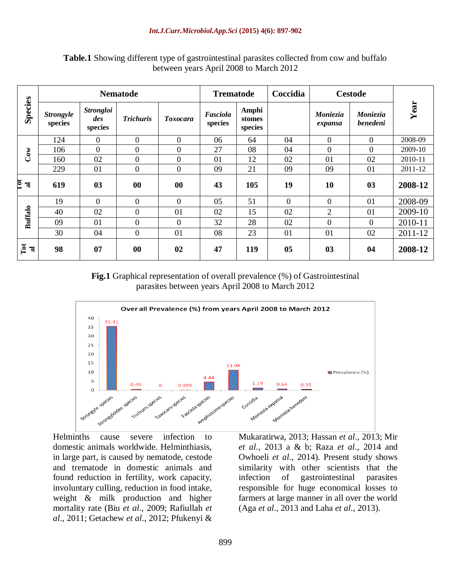|                       | <b>Nematode</b>             |                                    |                  |                 | <b>Trematode</b>    |                            | Coccidia         | <b>Cestode</b>      |                      |         |
|-----------------------|-----------------------------|------------------------------------|------------------|-----------------|---------------------|----------------------------|------------------|---------------------|----------------------|---------|
| <b>Species</b>        | <b>Strongyle</b><br>species | <b>Strongloi</b><br>des<br>species | <b>Trichuris</b> | <b>Toxocara</b> | Fasciola<br>species | Amphi<br>stomes<br>species |                  | Moniezia<br>expansa | Moniezia<br>benedeni | Year    |
|                       | 124                         | $\overline{0}$                     | $\theta$         | $\overline{0}$  | 06                  | 64                         | 04               | $\overline{0}$      | $\overline{0}$       | 2008-09 |
| Cov                   | 106                         | $\overline{0}$                     | $\theta$         | $\overline{0}$  | 27                  | 08                         | 04               | $\boldsymbol{0}$    | $\overline{0}$       | 2009-10 |
|                       | 160                         | 02                                 | $\theta$         | $\overline{0}$  | 01                  | 12                         | 02               | 01                  | 02                   | 2010-11 |
|                       | 229                         | 01                                 | $\overline{0}$   | $\overline{0}$  | 09                  | 21                         | 09               | 09                  | 01                   | 2011-12 |
| 101<br>$\overline{a}$ | 619                         | 03                                 | 00               | 00              | 43                  | 105                        | 19               | 10                  | 03                   | 2008-12 |
| <b>Buffalo</b>        | 19                          | $\boldsymbol{0}$                   | $\overline{0}$   | $\overline{0}$  | 05                  | 51                         | $\boldsymbol{0}$ | $\boldsymbol{0}$    | 01                   | 2008-09 |
|                       | 40                          | 02                                 | $\theta$         | 01              | 02                  | 15                         | 02               | $\overline{2}$      | 01                   | 2009-10 |
|                       | 09                          | 01                                 | $\theta$         | $\Omega$        | 32                  | 28                         | 02               | $\overline{0}$      | $\Omega$             | 2010-11 |
|                       | 30                          | 04                                 | $\mathbf{0}$     | 01              | 08                  | 23                         | 01               | 01                  | 02                   | 2011-12 |
| Tot<br>$\overline{a}$ | 98                          | 07                                 | 00               | 02              | 47                  | 119                        | 05               | 03                  | 04                   | 2008-12 |

**Table.1** Showing different type of gastrointestinal parasites collected from cow and buffalo between years April 2008 to March 2012

**Fig.1** Graphical representation of overall prevalence (%) of Gastrointestinal parasites between years April 2008 to March 2012



Helminths cause severe infection to domestic animals worldwide. Helminthiasis, in large part, is caused by nematode, cestode and trematode in domestic animals and found reduction in fertility, work capacity, involuntary culling, reduction in food intake, weight & milk production and higher mortality rate (Biu *et al*., 2009; Rafiullah *et al*., 2011; Getachew *et al*., 2012; Pfukenyi &

Mukaratirwa, 2013; Hassan *et al*., 2013; Mir *et al*., 2013 a & b; Raza *et al*., 2014 and Owhoeli *et al*., 2014). Present study shows similarity with other scientists that the infection of gastrointestinal parasites responsible for huge economical losses to farmers at large manner in all over the world (Aga *et al*., 2013 and Laha *et al*., 2013).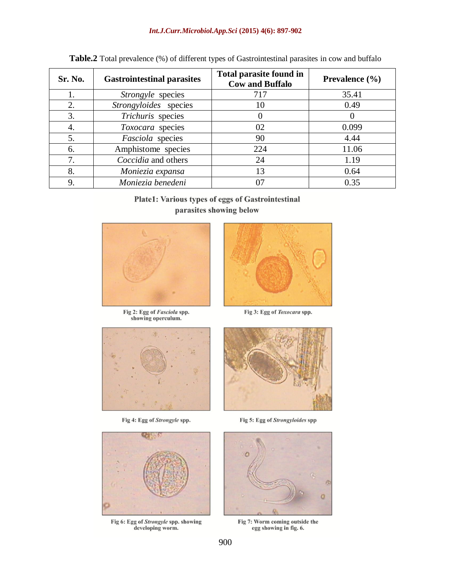| Sr. No. | <b>Gastrointestinal parasites</b> | <b>Total parasite found in</b><br><b>Cow and Buffalo</b> | Prevalence (%) |
|---------|-----------------------------------|----------------------------------------------------------|----------------|
| 1.      | <i>Strongyle</i> species          | 717                                                      | 35.41          |
| 2.      | Strongyloides species             | 10                                                       | 0.49           |
| 3.      | Trichuris species                 |                                                          |                |
| 4.      | Toxocara species                  | 02                                                       | 0.099          |
| 5.      | Fasciola species                  | 90                                                       | 4.44           |
| 6.      | Amphistome species                | 224                                                      | 11.06          |
| 7.      | Coccidia and others               | 24                                                       | 1.19           |
| 8.      | Moniezia expansa                  | 13                                                       | 0.64           |
| 9.      | Moniezia benedeni                 |                                                          | 0.35           |

Plate1: Various types of eggs of Gastrointestinal parasites showing below



Fig 2: Egg of Fasciola spp.<br>showing operculum.



Fig 4: Egg of Strongyle spp.



Fig 6: Egg of Strongyle spp. showing<br>developing worm.



Fig 3: Egg of Toxocara spp.



Fig 5: Egg of Strongyloides spp



Fig 7: Worm coming outside the<br>egg showing in fig. 6.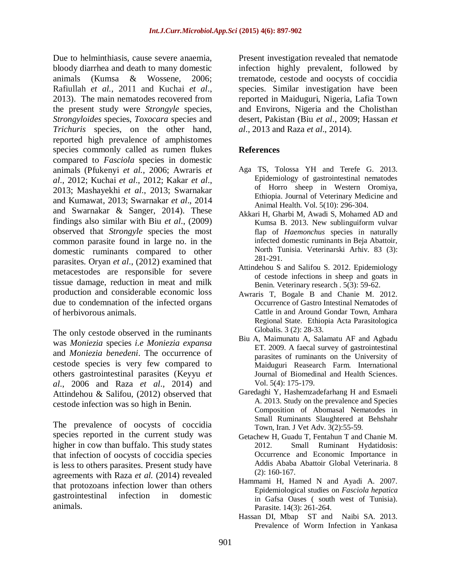Due to helminthiasis, cause severe anaemia, bloody diarrhea and death to many domestic animals (Kumsa & Wossene, 2006; Rafiullah *et al.*, 2011 and Kuchai *et al*., 2013). The main nematodes recovered from the present study were *Strongyle* species, *Strongyloides* species, *Toxocara* species and *Trichuris* species, on the other hand, reported high prevalence of amphistomes species commonly called as rumen flukes compared to *Fasciola* species in domestic animals (Pfukenyi *et al.*, 2006; Awraris *et al*., 2012; Kuchai *et al*., 2012; Kakar *et al*., 2013; Mashayekhi *et al*., 2013; Swarnakar and Kumawat, 2013; Swarnakar *et al*., 2014 and Swarnakar & Sanger, 2014). These findings also similar with Biu *et al*., (2009) observed that *Strongyle* species the most common parasite found in large no. in the domestic ruminants compared to other parasites. Oryan *et al*., (2012) examined that metacestodes are responsible for severe tissue damage, reduction in meat and milk production and considerable economic loss due to condemnation of the infected organs of herbivorous animals.

The only cestode observed in the ruminants was *Moniezia* species *i.e Moniezia expansa* and *Moniezia benedeni*. The occurrence of cestode species is very few compared to others gastrointestinal parasites (Keyyu *et al*., 2006 and Raza *et al*., 2014) and Attindehou & Salifou, (2012) observed that cestode infection was so high in Benin.

The prevalence of oocysts of coccidia species reported in the current study was higher in cow than buffalo. This study states that infection of oocysts of coccidia species is less to others parasites. Present study have agreements with Raza *et al.* (2014) revealed that protozoans infection lower than others gastrointestinal infection in domestic animals.

Present investigation revealed that nematode infection highly prevalent, followed by trematode, cestode and oocysts of coccidia species. Similar investigation have been reported in Maiduguri, Nigeria, Lafia Town and Environs, Nigeria and the Cholisthan desert, Pakistan (Biu *et al*., 2009; Hassan *et al*., 2013 and Raza *et al*., 2014).

### **References**

- Aga TS, Tolossa YH and Terefe G. 2013. Epidemiology of gastrointestinal nematodes of Horro sheep in Western Oromiya, Ethiopia. Journal of Veterinary Medicine and Animal Health. Vol. 5(10): 296-304.
- Akkari H, Gharbi M, Awadi S, Mohamed AD and Kumsa B. 2013. New sublinguiform vulvar flap of *Haemonchus* species in naturally infected domestic ruminants in Beja Abattoir, North Tunisia. Veterinarski Arhiv. 83 (3): 281-291.
- Attindehou S and Salifou S. 2012. Epidemiology of cestode infections in sheep and goats in Benin. Veterinary research . 5(3): 59-62.
- Awraris T, Bogale B and Chanie M. 2012. Occurrence of Gastro Intestinal Nematodes of Cattle in and Around Gondar Town, Amhara Regional State. Ethiopia Acta Parasitologica Globalis. 3 (2): 28-33.
- Biu A, Maimunatu A, Salamatu AF and Agbadu ET. 2009. A faecal survey of gastrointestinal parasites of ruminants on the University of Maiduguri Reasearch Farm. International Journal of Biomedinal and Health Sciences. Vol. 5(4): 175-179.
- Garedaghi Y, Hashemzadefarhang H and Esmaeli A. 2013. Study on the prevalence and Species Composition of Abomasal Nematodes in Small Ruminants Slaughtered at Behshahr Town, Iran. J Vet Adv. 3(2):55-59.
- Getachew H, Guadu T, Fentahun T and Chanie M. 2012. Small Ruminant Hydatidosis: Occurrence and Economic Importance in Addis Ababa Abattoir Global Veterinaria. 8 (2): 160-167.
- Hammami H, Hamed N and Ayadi A. 2007. Epidemiological studies on *Fasciola hepatica*  in Gafsa Oases ( south west of Tunisia). Parasite. 14(3): 261-264.
- Hassan DI, Mbap ST and Naibi SA. 2013. Prevalence of Worm Infection in Yankasa